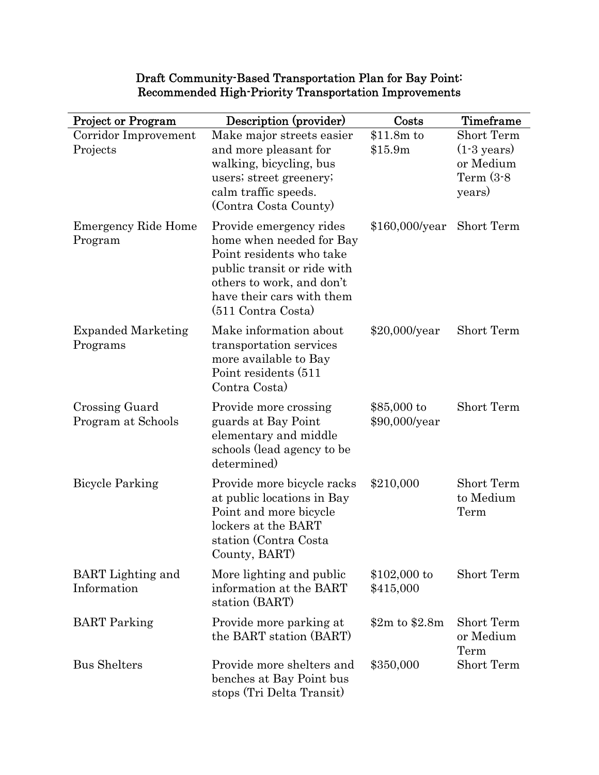| <b>Project or Program</b>               | Description (provider)                                                                                                                                                                         | Costs                         | Timeframe                                                                  |
|-----------------------------------------|------------------------------------------------------------------------------------------------------------------------------------------------------------------------------------------------|-------------------------------|----------------------------------------------------------------------------|
| Corridor Improvement<br>Projects        | Make major streets easier<br>and more pleasant for<br>walking, bicycling, bus<br>users; street greenery;<br>calm traffic speeds.<br>(Contra Costa County)                                      | \$11.8m to<br>\$15.9m         | Short Term<br>$(1-3 \text{ years})$<br>or Medium<br>Term $(3-8)$<br>years) |
| <b>Emergency Ride Home</b><br>Program   | Provide emergency rides<br>home when needed for Bay<br>Point residents who take<br>public transit or ride with<br>others to work, and don't<br>have their cars with them<br>(511 Contra Costa) | \$160,000/year                | Short Term                                                                 |
| <b>Expanded Marketing</b><br>Programs   | Make information about<br>transportation services<br>more available to Bay<br>Point residents (511)<br>Contra Costa)                                                                           | \$20,000/year                 | Short Term                                                                 |
| Crossing Guard<br>Program at Schools    | Provide more crossing<br>guards at Bay Point<br>elementary and middle<br>schools (lead agency to be<br>determined)                                                                             | $$85,000$ to<br>\$90,000/year | Short Term                                                                 |
| <b>Bicycle Parking</b>                  | Provide more bicycle racks<br>at public locations in Bay<br>Point and more bicycle<br>lockers at the BART<br>station (Contra Costa<br>County, BART)                                            | \$210,000                     | Short Term<br>to Medium<br>Term                                            |
| <b>BART</b> Lighting and<br>Information | More lighting and public<br>information at the BART<br>station (BART)                                                                                                                          | $$102,000$ to<br>\$415,000    | Short Term                                                                 |
| <b>BART</b> Parking                     | Provide more parking at<br>the BART station (BART)                                                                                                                                             | \$2m\$ to \$2.8m              | Short Term<br>or Medium<br>Term                                            |
| <b>Bus Shelters</b>                     | Provide more shelters and<br>benches at Bay Point bus<br>stops (Tri Delta Transit)                                                                                                             | \$350,000                     | Short Term                                                                 |

## Draft Community-Based Transportation Plan for Bay Point: Recommended High-Priority Transportation Improvements